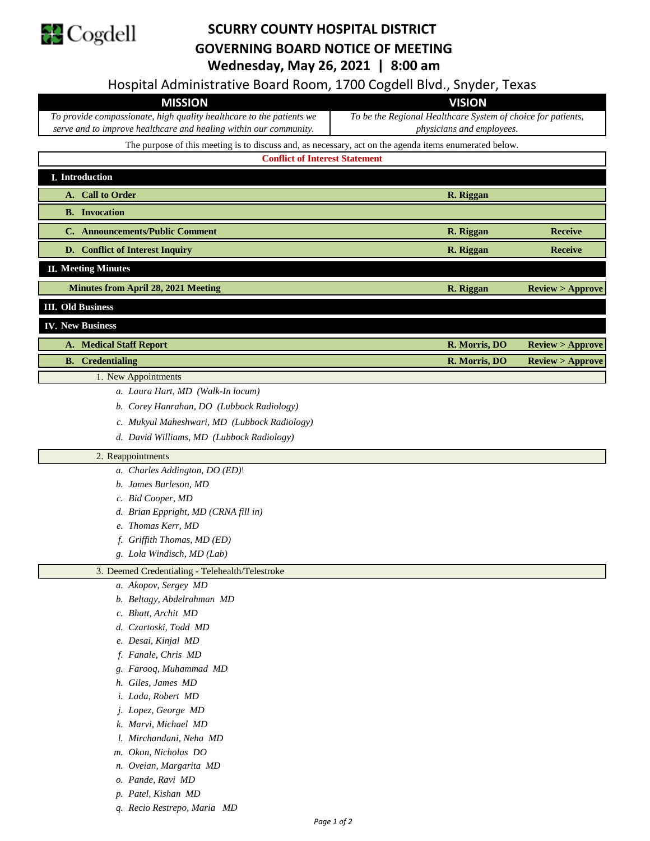

## **SCURRY COUNTY HOSPITAL DISTRICT GOVERNING BOARD NOTICE OF MEETING Wednesday, May 26, 2021 | 8:00 am**

Hospital Administrative Board Room, 1700 Cogdell Blvd., Snyder, Texas

| Hospital Administrative Board Room, 1700 Cogdell Bivd., Shyder, Texas                                  |                                                                                                |                            |
|--------------------------------------------------------------------------------------------------------|------------------------------------------------------------------------------------------------|----------------------------|
| <b>MISSION</b>                                                                                         | <b>VISION</b>                                                                                  |                            |
| To provide compassionate, high quality healthcare to the patients we                                   | To be the Regional Healthcare System of choice for patients,                                   |                            |
|                                                                                                        | serve and to improve healthcare and healing within our community.<br>physicians and employees. |                            |
| The purpose of this meeting is to discuss and, as necessary, act on the agenda items enumerated below. |                                                                                                |                            |
| <b>Conflict of Interest Statement</b>                                                                  |                                                                                                |                            |
| I. Introduction                                                                                        |                                                                                                |                            |
| A. Call to Order                                                                                       | R. Riggan                                                                                      |                            |
| <b>B.</b> Invocation                                                                                   |                                                                                                |                            |
| C. Announcements/Public Comment                                                                        | R. Riggan                                                                                      | <b>Receive</b>             |
|                                                                                                        |                                                                                                |                            |
| D. Conflict of Interest Inquiry                                                                        | R. Riggan                                                                                      | <b>Receive</b>             |
| <b>II. Meeting Minutes</b>                                                                             |                                                                                                |                            |
| <b>Minutes from April 28, 2021 Meeting</b>                                                             | R. Riggan                                                                                      | Review > Approve           |
| <b>III.</b> Old Business                                                                               |                                                                                                |                            |
| <b>IV. New Business</b>                                                                                |                                                                                                |                            |
| <b>Medical Staff Report</b><br>А.                                                                      | R. Morris, DO                                                                                  | <b>Review &gt; Approve</b> |
| <b>B.</b> Credentialing                                                                                | R. Morris, DO                                                                                  | <b>Review &gt; Approve</b> |
| 1. New Appointments                                                                                    |                                                                                                |                            |
| a. Laura Hart, MD (Walk-In locum)                                                                      |                                                                                                |                            |
| b. Corey Hanrahan, DO (Lubbock Radiology)                                                              |                                                                                                |                            |
| c. Mukyul Maheshwari, MD (Lubbock Radiology)                                                           |                                                                                                |                            |
|                                                                                                        |                                                                                                |                            |
| d. David Williams, MD (Lubbock Radiology)                                                              |                                                                                                |                            |
| 2. Reappointments                                                                                      |                                                                                                |                            |
| a. Charles Addington, DO (ED)\                                                                         |                                                                                                |                            |
| b. James Burleson, MD                                                                                  |                                                                                                |                            |
| c. Bid Cooper, MD                                                                                      |                                                                                                |                            |
| d. Brian Eppright, MD (CRNA fill in)                                                                   |                                                                                                |                            |
| e. Thomas Kerr, MD                                                                                     |                                                                                                |                            |
| f. Griffith Thomas, MD (ED)                                                                            |                                                                                                |                            |
| g. Lola Windisch, MD (Lab)                                                                             |                                                                                                |                            |
| 3. Deemed Credentialing - Telehealth/Telestroke                                                        |                                                                                                |                            |
| a. Akopov, Sergey MD                                                                                   |                                                                                                |                            |
| b. Beltagy, Abdelrahman MD                                                                             |                                                                                                |                            |
| c. Bhatt, Archit MD                                                                                    |                                                                                                |                            |
| d. Czartoski, Todd MD                                                                                  |                                                                                                |                            |
| e. Desai, Kinjal MD                                                                                    |                                                                                                |                            |
| f. Fanale, Chris MD                                                                                    |                                                                                                |                            |
| g. Farooq, Muhammad MD                                                                                 |                                                                                                |                            |
| h. Giles, James MD                                                                                     |                                                                                                |                            |
| i. Lada, Robert MD                                                                                     |                                                                                                |                            |
| j. Lopez, George MD                                                                                    |                                                                                                |                            |
| k. Marvi, Michael MD                                                                                   |                                                                                                |                            |
| l. Mirchandani, Neha MD                                                                                |                                                                                                |                            |
| m. Okon, Nicholas DO                                                                                   |                                                                                                |                            |
| n. Oveian, Margarita MD                                                                                |                                                                                                |                            |
| o. Pande, Ravi MD                                                                                      |                                                                                                |                            |
| p. Patel, Kishan MD                                                                                    |                                                                                                |                            |
|                                                                                                        |                                                                                                |                            |